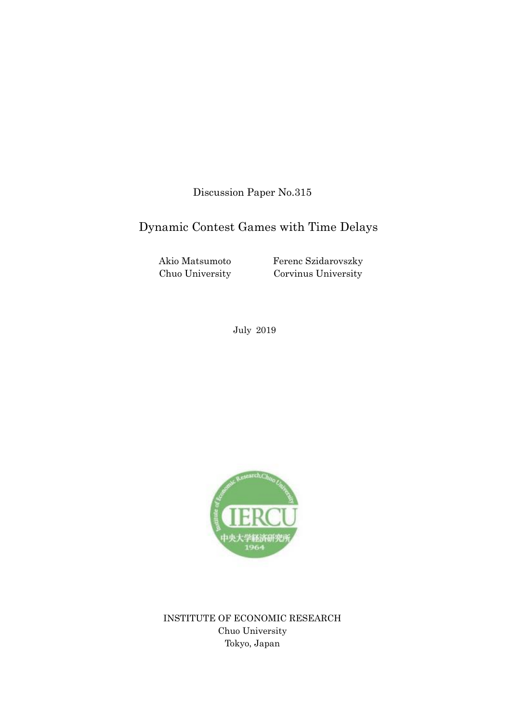Discussion Paper No.315

# Dynamic Contest Games with Time Delays

Akio Matsumoto Chuo University

Ferenc Szidarovszky Corvinus University

July 2019



INSTITUTE OF ECONOMIC RESEARCH Chuo University Tokyo, Japan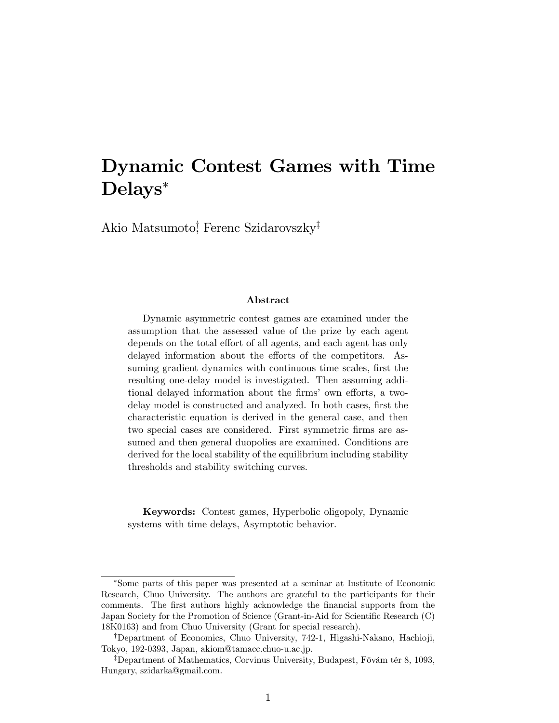# Dynamic Contest Games with Time Delays

Akio Matsumoto<sup>†</sup>, Ferenc Szidarovszky<sup>‡</sup>

#### Abstract

Dynamic asymmetric contest games are examined under the assumption that the assessed value of the prize by each agent depends on the total effort of all agents, and each agent has only delayed information about the efforts of the competitors. Assuming gradient dynamics with continuous time scales, first the resulting one-delay model is investigated. Then assuming additional delayed information about the firms' own efforts, a twodelay model is constructed and analyzed. In both cases, first the characteristic equation is derived in the general case, and then two special cases are considered. First symmetric firms are assumed and then general duopolies are examined. Conditions are derived for the local stability of the equilibrium including stability thresholds and stability switching curves.

Keywords: Contest games, Hyperbolic oligopoly, Dynamic systems with time delays, Asymptotic behavior.

Some parts of this paper was presented at a seminar at Institute of Economic Research, Chuo University. The authors are grateful to the participants for their comments. The first authors highly acknowledge the financial supports from the Japan Society for the Promotion of Science (Grant-in-Aid for Scientific Research (C) 18K0163) and from Chuo University (Grant for special research).

<sup>&</sup>lt;sup>†</sup>Department of Economics, Chuo University, 742-1, Higashi-Nakano, Hachioji, Tokyo, 192-0393, Japan, akiom@tamacc.chuo-u.ac.jp.

<sup>&</sup>lt;sup>‡</sup>Department of Mathematics, Corvinus University, Budapest, Fövám tér 8, 1093, Hungary, szidarka@gmail.com.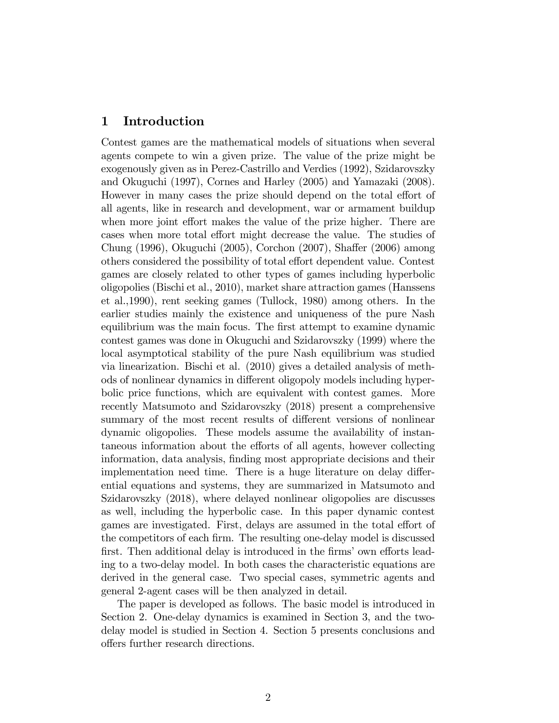### 1 Introduction

Contest games are the mathematical models of situations when several agents compete to win a given prize. The value of the prize might be exogenously given as in Perez-Castrillo and Verdies (1992), Szidarovszky and Okuguchi (1997), Cornes and Harley (2005) and Yamazaki (2008). However in many cases the prize should depend on the total effort of all agents, like in research and development, war or armament buildup when more joint effort makes the value of the prize higher. There are cases when more total effort might decrease the value. The studies of Chung (1996), Okuguchi (2005), Corchon (2007), Shaffer (2006) among others considered the possibility of total effort dependent value. Contest games are closely related to other types of games including hyperbolic oligopolies (Bischi et al., 2010), market share attraction games (Hanssens et al.,1990), rent seeking games (Tullock, 1980) among others. In the earlier studies mainly the existence and uniqueness of the pure Nash equilibrium was the main focus. The first attempt to examine dynamic contest games was done in Okuguchi and Szidarovszky (1999) where the local asymptotical stability of the pure Nash equilibrium was studied via linearization. Bischi et al. (2010) gives a detailed analysis of methods of nonlinear dynamics in different oligopoly models including hyperbolic price functions, which are equivalent with contest games. More recently Matsumoto and Szidarovszky (2018) present a comprehensive summary of the most recent results of different versions of nonlinear dynamic oligopolies. These models assume the availability of instantaneous information about the efforts of all agents, however collecting information, data analysis, Önding most appropriate decisions and their implementation need time. There is a huge literature on delay differential equations and systems, they are summarized in Matsumoto and Szidarovszky (2018), where delayed nonlinear oligopolies are discusses as well, including the hyperbolic case. In this paper dynamic contest games are investigated. First, delays are assumed in the total effort of the competitors of each firm. The resulting one-delay model is discussed first. Then additional delay is introduced in the firms' own efforts leading to a two-delay model. In both cases the characteristic equations are derived in the general case. Two special cases, symmetric agents and general 2-agent cases will be then analyzed in detail.

The paper is developed as follows. The basic model is introduced in Section 2. One-delay dynamics is examined in Section 3, and the twodelay model is studied in Section 4. Section 5 presents conclusions and offers further research directions.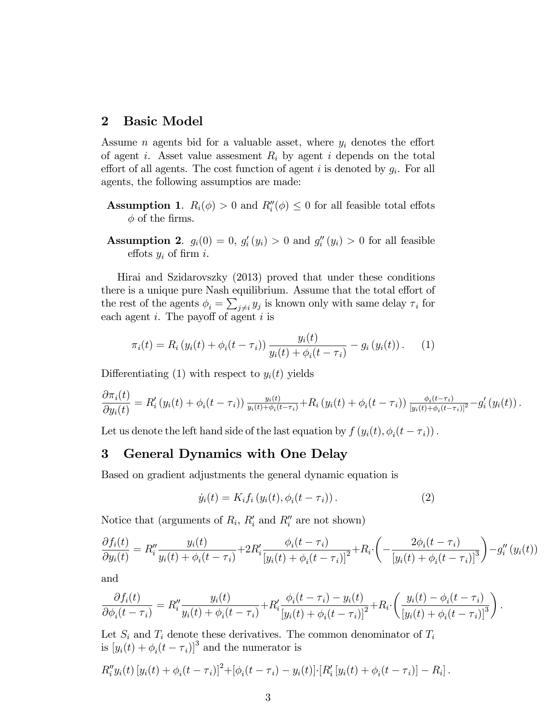## 2 Basic Model

Assume *n* agents bid for a valuable asset, where  $y_i$  denotes the effort of agent *i*. Asset value assessment  $R_i$  by agent *i* depends on the total effort of all agents. The cost function of agent  $i$  is denoted by  $g_i$ . For all agents, the following assumptios are made:

- **Assumption 1.**  $R_i(\phi) > 0$  and  $R_i''(\phi) \leq 0$  for all feasible total effots  $\phi$  of the firms.
- **Assumption 2.**  $g_i(0) = 0, g'_i(y_i) > 0$  and  $g''_i(y_i) > 0$  for all feasible effots  $y_i$  of firm i.

Hirai and Szidarovszky (2013) proved that under these conditions there is a unique pure Nash equilibrium. Assume that the total effort of the rest of the agents  $\phi_i = \sum_{j \neq i} y_j$  is known only with same delay  $\tau_i$  for each agent  $i$ . The payoff of agent  $i$  is

$$
\pi_i(t) = R_i (y_i(t) + \phi_i(t - \tau_i)) \frac{y_i(t)}{y_i(t) + \phi_i(t - \tau_i)} - g_i (y_i(t)). \tag{1}
$$

Differentiating (1) with respect to  $y_i(t)$  yields

$$
\frac{\partial \pi_i(t)}{\partial y_i(t)} = R'_i \left( y_i(t) + \phi_i(t - \tau_i) \right) \frac{y_i(t)}{y_i(t) + \phi_i(t - \tau_i)} + R_i \left( y_i(t) + \phi_i(t - \tau_i) \right) \frac{\phi_i(t - \tau_i)}{[y_i(t) + \phi_i(t - \tau_i)]^2} - g'_i \left( y_i(t) \right).
$$

Let us denote the left hand side of the last equation by  $f(y_i(t), \phi_i(t - \tau_i))$ .

### 3 General Dynamics with One Delay

Based on gradient adjustments the general dynamic equation is

$$
\dot{y}_i(t) = K_i f_i \left( y_i(t), \phi_i(t - \tau_i) \right). \tag{2}
$$

Notice that (arguments of  $R_i$ ,  $R'_i$  and  $R''_i$  are not shown)

$$
\frac{\partial f_i(t)}{\partial y_i(t)} = R''_i \frac{y_i(t)}{y_i(t) + \phi_i(t - \tau_i)} + 2R'_i \frac{\phi_i(t - \tau_i)}{[y_i(t) + \phi_i(t - \tau_i)]^2} + R_i \cdot \left( -\frac{2\phi_i(t - \tau_i)}{[y_i(t) + \phi_i(t - \tau_i)]^3} \right) - g''_i(y_i(t))
$$

and

$$
\frac{\partial f_i(t)}{\partial \phi_i(t-\tau_i)} = R''_i \frac{y_i(t)}{y_i(t) + \phi_i(t-\tau_i)} + R'_i \frac{\phi_i(t-\tau_i) - y_i(t)}{[y_i(t) + \phi_i(t-\tau_i)]^2} + R_i \cdot \left(\frac{y_i(t) - \phi_i(t-\tau_i)}{[y_i(t) + \phi_i(t-\tau_i)]^3}\right).
$$

Let  $S_i$  and  $T_i$  denote these derivatives. The common denominator of  $T_i$ is  $[y_i(t) + \phi_i(t - \tau_i)]^3$  and the numerator is

$$
R''_i y_i(t) [y_i(t) + \phi_i(t - \tau_i)]^2 + [\phi_i(t - \tau_i) - y_i(t)] \cdot [R'_i [y_i(t) + \phi_i(t - \tau_i)] - R_i].
$$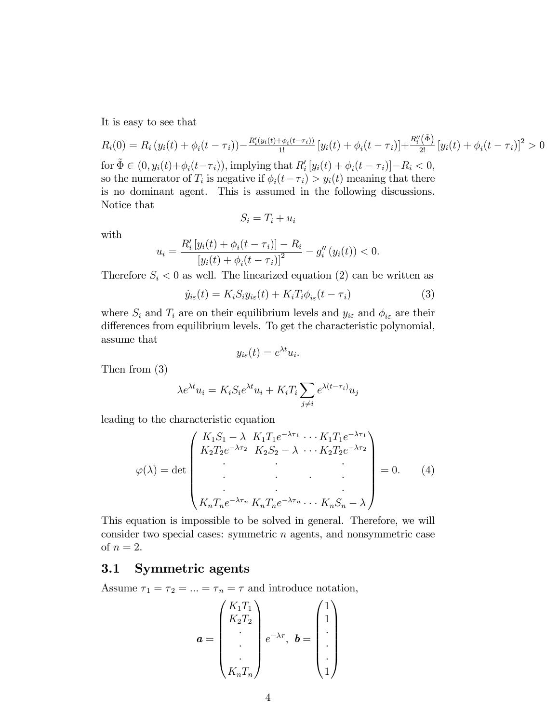It is easy to see that

$$
R_i(0) = R_i (y_i(t) + \phi_i(t - \tau_i)) - \frac{R_i'(y_i(t) + \phi_i(t - \tau_i))}{1!} [y_i(t) + \phi_i(t - \tau_i)] + \frac{R_i''(\tilde{\Phi})}{2!} [y_i(t) + \phi_i(t - \tau_i)]^2 > 0
$$
  
for  $\tilde{\Phi} \in (0, y_i(t) + \phi_i(t - \tau_i))$ , implying that  $R_i'[y_i(t) + \phi_i(t - \tau_i)] - R_i < 0$ ,  
so the numerator of  $T_i$  is negative if  $\phi_i(t - \tau_i) > y_i(t)$  meaning that there  
is no dominant agent. This is assumed in the following discussions.  
Notice that

$$
S_i = T_i + u_i
$$

with

$$
u_i = \frac{R'_i \left[ y_i(t) + \phi_i(t - \tau_i) \right] - R_i}{\left[ y_i(t) + \phi_i(t - \tau_i) \right]^2} - g''_i \left( y_i(t) \right) < 0.
$$

Therefore  $S_i < 0$  as well. The linearized equation (2) can be written as

$$
\dot{y}_{i\varepsilon}(t) = K_i S_i y_{i\varepsilon}(t) + K_i T_i \phi_{i\varepsilon}(t - \tau_i)
$$
\n(3)

where  $S_i$  and  $T_i$  are on their equilibrium levels and  $y_{i\epsilon}$  and  $\phi_{i\epsilon}$  are their differences from equilibrium levels. To get the characteristic polynomial, assume that

$$
y_{i\varepsilon}(t) = e^{\lambda t} u_i.
$$

Then from (3)

$$
\lambda e^{\lambda t} u_i = K_i S_i e^{\lambda t} u_i + K_i T_i \sum_{j \neq i} e^{\lambda (t - \tau_i)} u_j
$$

leading to the characteristic equation

$$
\varphi(\lambda) = \det \begin{pmatrix} K_1 S_1 - \lambda & K_1 T_1 e^{-\lambda \tau_1} & \cdots & K_1 T_1 e^{-\lambda \tau_1} \\ K_2 T_2 e^{-\lambda \tau_2} & K_2 S_2 - \lambda & \cdots & K_2 T_2 e^{-\lambda \tau_2} \\ \vdots & \vdots & \ddots & \vdots \\ K_n T_n e^{-\lambda \tau_n} & K_n T_n e^{-\lambda \tau_n} & \cdots & K_n S_n - \lambda \end{pmatrix} = 0.
$$
 (4)

This equation is impossible to be solved in general. Therefore, we will consider two special cases: symmetric  $n$  agents, and nonsymmetric case of  $n = 2$ .

# 3.1 Symmetric agents

Assume  $\tau_1 = \tau_2 = ... = \tau_n = \tau$  and introduce notation,

$$
\boldsymbol{a} = \begin{pmatrix} K_1 T_1 \\ K_2 T_2 \\ \vdots \\ K_n T_n \end{pmatrix} e^{-\lambda \tau}, \ \boldsymbol{b} = \begin{pmatrix} 1 \\ 1 \\ \vdots \\ 1 \end{pmatrix}
$$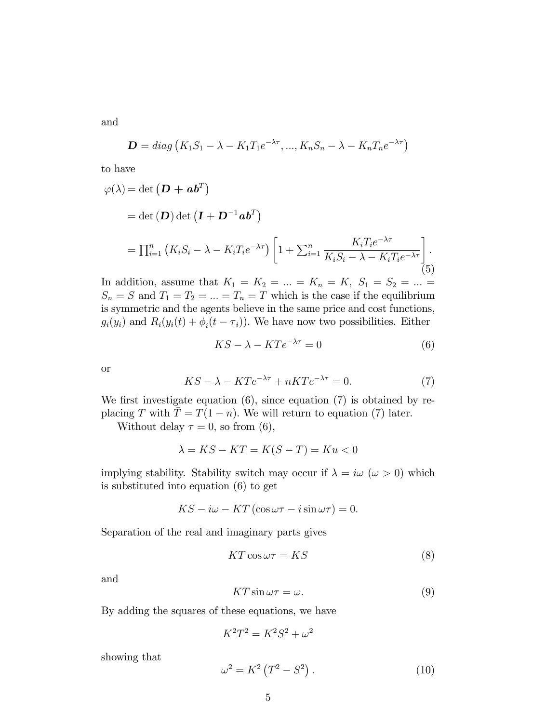and

$$
\mathbf{D} = diag\left(K_1S_1 - \lambda - K_1T_1e^{-\lambda\tau}, ..., K_nS_n - \lambda - K_nT_ne^{-\lambda\tau}\right)
$$

to have

$$
\varphi(\lambda) = \det (\mathbf{D} + \mathbf{a} \mathbf{b}^T)
$$
  
= 
$$
\det (\mathbf{D}) \det (\mathbf{I} + \mathbf{D}^{-1} \mathbf{a} \mathbf{b}^T)
$$
  
= 
$$
\prod_{i=1}^n (K_i S_i - \lambda - K_i T_i e^{-\lambda \tau}) \left[ 1 + \sum_{i=1}^n \frac{K_i T_i e^{-\lambda \tau}}{K_i S_i - \lambda - K_i T_i e^{-\lambda \tau}} \right].
$$
 (5)

In addition, assume that  $K_1 = K_2 = ... = K_n = K, S_1 = S_2 = ... =$  $S_n = S$  and  $T_1 = T_2 = ... = T_n = T$  which is the case if the equilibrium is symmetric and the agents believe in the same price and cost functions,  $g_i(y_i)$  and  $R_i(y_i(t) + \phi_i(t - \tau_i))$ . We have now two possibilities. Either

$$
KS - \lambda - KT e^{-\lambda \tau} = 0 \tag{6}
$$

or

$$
KS - \lambda - KTe^{-\lambda \tau} + nKT e^{-\lambda \tau} = 0.
$$
 (7)

We first investigate equation  $(6)$ , since equation  $(7)$  is obtained by replacing T with  $T = T(1 - n)$ . We will return to equation (7) later.

Without delay  $\tau = 0$ , so from (6),

$$
\lambda = KS - KT = K(S - T) = Ku < 0
$$

implying stability. Stability switch may occur if  $\lambda = i\omega \ (\omega > 0)$  which is substituted into equation (6) to get

$$
KS - i\omega - KT(\cos \omega \tau - i \sin \omega \tau) = 0.
$$

Separation of the real and imaginary parts gives

$$
KT\cos\omega\tau = KS\tag{8}
$$

and

$$
KT\sin\omega\tau = \omega.\tag{9}
$$

By adding the squares of these equations, we have

$$
K^2T^2 = K^2S^2 + \omega^2
$$

showing that

$$
\omega^2 = K^2 \left( T^2 - S^2 \right). \tag{10}
$$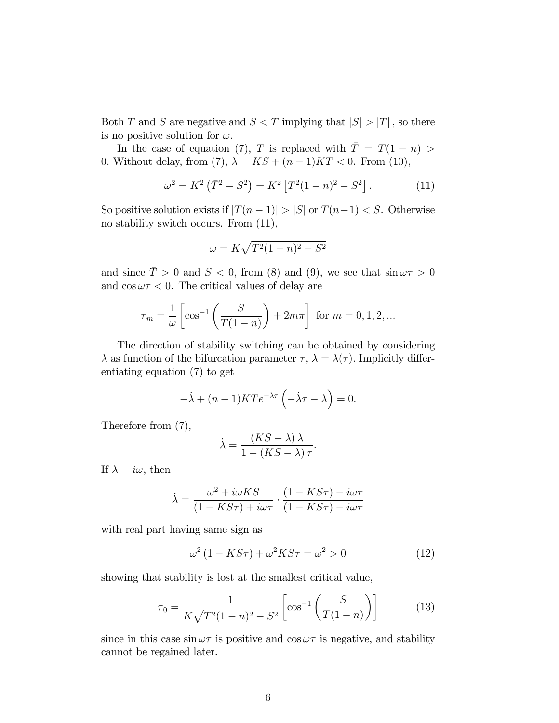Both T and S are negative and  $S < T$  implying that  $|S| > |T|$ , so there is no positive solution for  $\omega$ .

In the case of equation (7), T is replaced with  $\overline{T} = T(1 - n)$ 0. Without delay, from (7),  $\lambda = KS + (n-1)KT < 0$ . From (10),

$$
\omega^2 = K^2 (\bar{T}^2 - S^2) = K^2 [T^2 (1 - n)^2 - S^2]. \tag{11}
$$

So positive solution exists if  $|T(n-1)| > |S|$  or  $T(n-1) < S$ . Otherwise no stability switch occurs. From (11),

$$
\omega = K\sqrt{T^2(1-n)^2 - S^2}
$$

and since  $\overline{T} > 0$  and  $S < 0$ , from (8) and (9), we see that  $\sin \omega \tau > 0$ and  $\cos \omega \tau < 0$ . The critical values of delay are

$$
\tau_m = \frac{1}{\omega} \left[ \cos^{-1} \left( \frac{S}{T(1-n)} \right) + 2m\pi \right] \text{ for } m = 0, 1, 2, \dots
$$

The direction of stability switching can be obtained by considering  $\lambda$  as function of the bifurcation parameter  $\tau$ ,  $\lambda = \lambda(\tau)$ . Implicitly differentiating equation (7) to get

$$
-\dot{\lambda} + (n-1)KT e^{-\lambda \tau} \left(-\dot{\lambda}\tau - \lambda\right) = 0.
$$

Therefore from (7),

$$
\dot{\lambda} = \frac{(KS - \lambda)\lambda}{1 - (KS - \lambda)\tau}.
$$

If  $\lambda = i\omega$ , then

$$
\dot{\lambda} = \frac{\omega^2 + i\omega KS}{(1 - KS\tau) + i\omega\tau} \cdot \frac{(1 - KS\tau) - i\omega\tau}{(1 - KS\tau) - i\omega\tau}
$$

with real part having same sign as

$$
\omega^2 (1 - KS\tau) + \omega^2 KS\tau = \omega^2 > 0 \tag{12}
$$

showing that stability is lost at the smallest critical value,

$$
\tau_0 = \frac{1}{K\sqrt{T^2(1-n)^2 - S^2}} \left[ \cos^{-1}\left(\frac{S}{T(1-n)}\right) \right]
$$
(13)

since in this case  $\sin \omega \tau$  is positive and  $\cos \omega \tau$  is negative, and stability cannot be regained later.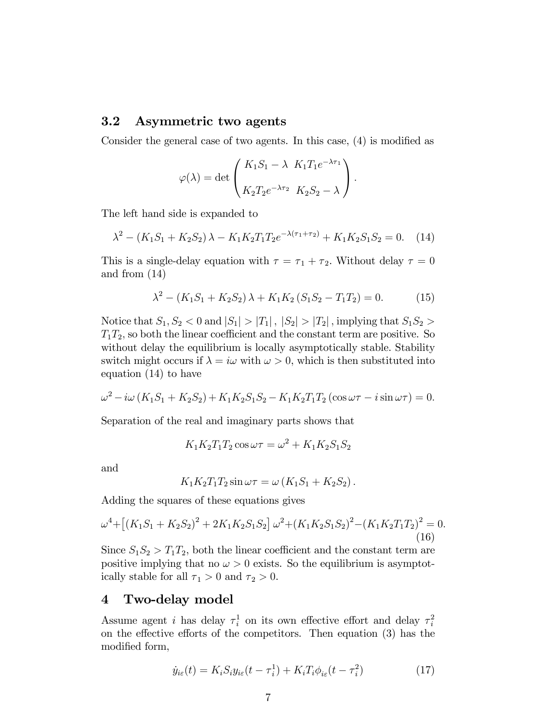#### 3.2 Asymmetric two agents

Consider the general case of two agents. In this case,  $(4)$  is modified as

$$
\varphi(\lambda) = \det \begin{pmatrix} K_1 S_1 - \lambda & K_1 T_1 e^{-\lambda \tau_1} \\ K_2 T_2 e^{-\lambda \tau_2} & K_2 S_2 - \lambda \end{pmatrix}.
$$

The left hand side is expanded to

$$
\lambda^2 - (K_1 S_1 + K_2 S_2) \lambda - K_1 K_2 T_1 T_2 e^{-\lambda(\tau_1 + \tau_2)} + K_1 K_2 S_1 S_2 = 0. \tag{14}
$$

This is a single-delay equation with  $\tau = \tau_1 + \tau_2$ . Without delay  $\tau = 0$ and from (14)

$$
\lambda^{2} - (K_{1}S_{1} + K_{2}S_{2})\lambda + K_{1}K_{2}(S_{1}S_{2} - T_{1}T_{2}) = 0.
$$
 (15)

Notice that  $S_1, S_2 < 0$  and  $|S_1| > |T_1|$ ,  $|S_2| > |T_2|$ , implying that  $S_1S_2 >$  $T_1T_2$ , so both the linear coefficient and the constant term are positive. So without delay the equilibrium is locally asymptotically stable. Stability switch might occurs if  $\lambda = i\omega$  with  $\omega > 0$ , which is then substituted into equation (14) to have

$$
\omega^2 - i\omega (K_1 S_1 + K_2 S_2) + K_1 K_2 S_1 S_2 - K_1 K_2 T_1 T_2 (\cos \omega \tau - i \sin \omega \tau) = 0.
$$

Separation of the real and imaginary parts shows that

$$
K_1 K_2 T_1 T_2 \cos \omega \tau = \omega^2 + K_1 K_2 S_1 S_2
$$

and

$$
K_1K_2T_1T_2\sin\omega\tau = \omega\left(K_1S_1 + K_2S_2\right).
$$

Adding the squares of these equations gives

$$
\omega^4 + \left[ \left( K_1 S_1 + K_2 S_2 \right)^2 + 2 K_1 K_2 S_1 S_2 \right] \omega^2 + \left( K_1 K_2 S_1 S_2 \right)^2 - \left( K_1 K_2 T_1 T_2 \right)^2 = 0. \tag{16}
$$

Since  $S_1S_2 > T_1T_2$ , both the linear coefficient and the constant term are positive implying that no  $\omega > 0$  exists. So the equilibrium is asymptotically stable for all  $\tau_1 > 0$  and  $\tau_2 > 0$ .

#### 4 Two-delay model

Assume agent *i* has delay  $\tau_i^1$  on its own effective effort and delay  $\tau_i^2$ on the effective efforts of the competitors. Then equation  $(3)$  has the modified form,

$$
\dot{y}_{i\varepsilon}(t) = K_i S_i y_{i\varepsilon}(t - \tau_i^1) + K_i T_i \phi_{i\varepsilon}(t - \tau_i^2)
$$
\n(17)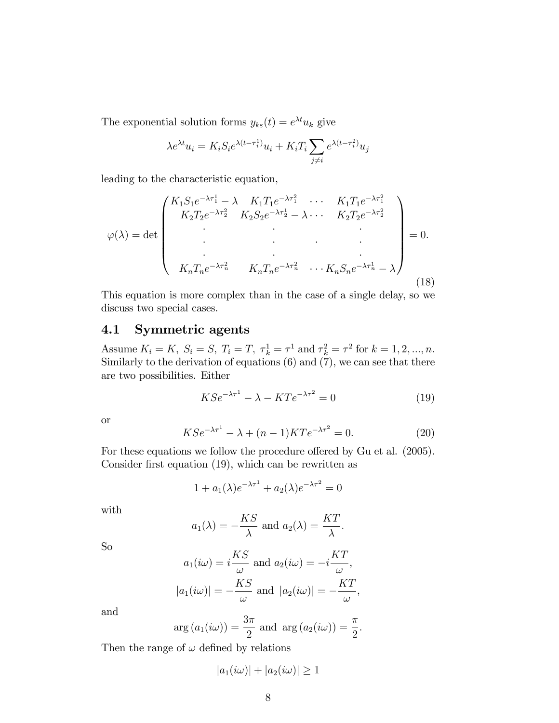The exponential solution forms  $y_{k\varepsilon}(t) = e^{\lambda t} u_k$  give

$$
\lambda e^{\lambda t} u_i = K_i S_i e^{\lambda (t - \tau_i^1)} u_i + K_i T_i \sum_{j \neq i} e^{\lambda (t - \tau_i^2)} u_j
$$

leading to the characteristic equation,

$$
\varphi(\lambda) = \det \begin{pmatrix} K_1 S_1 e^{-\lambda \tau_1^1} - \lambda & K_1 T_1 e^{-\lambda \tau_1^2} & \cdots & K_1 T_1 e^{-\lambda \tau_1^2} \\ K_2 T_2 e^{-\lambda \tau_2^2} & K_2 S_2 e^{-\lambda \tau_2^1} - \lambda & \cdots & K_2 T_2 e^{-\lambda \tau_2^2} \\ \vdots & \vdots & \ddots & \vdots \\ K_n T_n e^{-\lambda \tau_n^2} & K_n T_n e^{-\lambda \tau_n^2} & \cdots & K_n S_n e^{-\lambda \tau_n^1} - \lambda \end{pmatrix} = 0.
$$
\n(18)

This equation is more complex than in the case of a single delay, so we discuss two special cases.

## 4.1 Symmetric agents

Assume  $K_i = K$ ,  $S_i = S$ ,  $T_i = T$ ,  $\tau_k^1 = \tau^1$  and  $\tau_k^2 = \tau^2$  for  $k = 1, 2, ..., n$ . Similarly to the derivation of equations (6) and (7), we can see that there are two possibilities. Either

$$
KSe^{-\lambda\tau^{1}} - \lambda - KTe^{-\lambda\tau^{2}} = 0
$$
\n(19)

or

$$
KSe^{-\lambda\tau^1} - \lambda + (n-1)KT e^{-\lambda\tau^2} = 0.
$$
 (20)

For these equations we follow the procedure offered by Gu et al. (2005). Consider first equation  $(19)$ , which can be rewritten as

$$
1 + a_1(\lambda)e^{-\lambda \tau^1} + a_2(\lambda)e^{-\lambda \tau^2} = 0
$$

with

$$
a_1(\lambda) = -\frac{KS}{\lambda}
$$
 and  $a_2(\lambda) = \frac{KT}{\lambda}$ .

So

$$
a_1(i\omega) = i\frac{KS}{\omega} \text{ and } a_2(i\omega) = -i\frac{KT}{\omega},
$$
  

$$
|a_1(i\omega)| = -\frac{KS}{\omega} \text{ and } |a_2(i\omega)| = -\frac{KT}{\omega},
$$

and

$$
arg (a_1(i\omega)) = \frac{3\pi}{2}
$$
 and  $arg (a_2(i\omega)) = \frac{\pi}{2}$ .

Then the range of  $\omega$  defined by relations

$$
|a_1(i\omega)| + |a_2(i\omega)| \ge 1
$$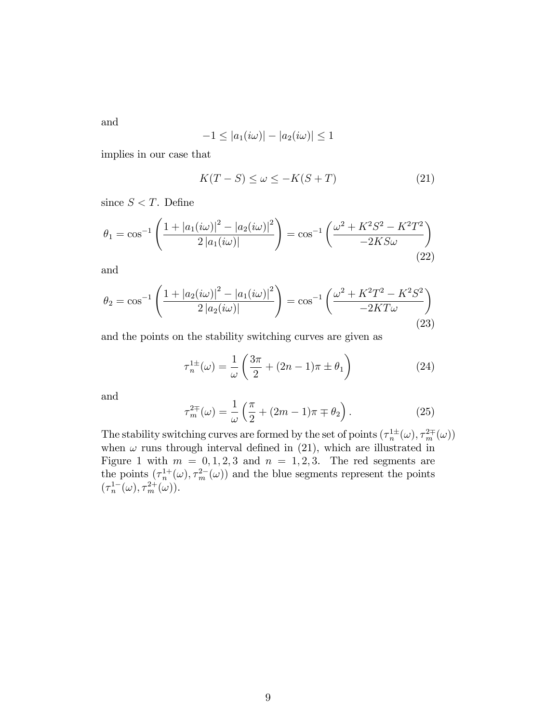and

$$
-1 \le |a_1(i\omega)| - |a_2(i\omega)| \le 1
$$

implies in our case that

$$
K(T - S) \le \omega \le -K(S + T) \tag{21}
$$

since  $S < T$ . Define

$$
\theta_1 = \cos^{-1}\left(\frac{1 + |a_1(i\omega)|^2 - |a_2(i\omega)|^2}{2|a_1(i\omega)|}\right) = \cos^{-1}\left(\frac{\omega^2 + K^2S^2 - K^2T^2}{-2KS\omega}\right)
$$
\n(22)

and

$$
\theta_2 = \cos^{-1}\left(\frac{1 + |a_2(i\omega)|^2 - |a_1(i\omega)|^2}{2|a_2(i\omega)|}\right) = \cos^{-1}\left(\frac{\omega^2 + K^2T^2 - K^2S^2}{-2KT\omega}\right)
$$
\n(23)

and the points on the stability switching curves are given as

$$
\tau_n^{1\pm}(\omega) = \frac{1}{\omega} \left( \frac{3\pi}{2} + (2n - 1)\pi \pm \theta_1 \right) \tag{24}
$$

and

$$
\tau_m^{2\mp}(\omega) = \frac{1}{\omega} \left( \frac{\pi}{2} + (2m - 1)\pi \mp \theta_2 \right). \tag{25}
$$

The stability switching curves are formed by the set of points  $(\tau_n^{\{1\pm}}(\omega), \tau_m^{2\mp}(\omega))$ when  $\omega$  runs through interval defined in (21), which are illustrated in Figure 1 with  $m = 0, 1, 2, 3$  and  $n = 1, 2, 3$ . The red segments are the points  $(\tau_n^{1+}(\omega), \tau_m^{2-}(\omega))$  and the blue segments represent the points  $(\tau_n^{1-}(\omega), \tau_m^{2+}(\omega)).$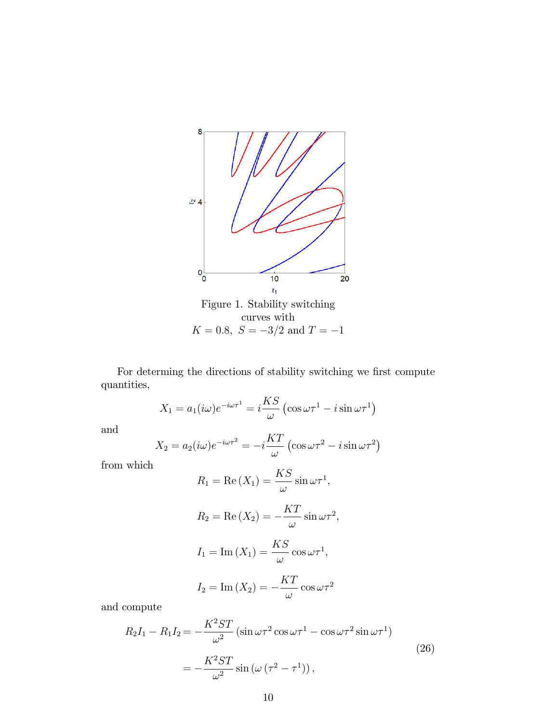

For determing the directions of stability switching we first compute quantities,

$$
X_1 = a_1(i\omega)e^{-i\omega\tau^1} = i\frac{KS}{\omega}(\cos \omega\tau^1 - i\sin \omega\tau^1)
$$

and

$$
X_2 = a_2(i\omega)e^{-i\omega\tau^2} = -i\frac{KT}{\omega}(\cos\omega\tau^2 - i\sin\omega\tau^2)
$$

from which

$$
R_1 = \text{Re}(X_1) = \frac{KS}{\omega} \sin \omega \tau^1,
$$
  
\n
$$
R_2 = \text{Re}(X_2) = -\frac{KT}{\omega} \sin \omega \tau^2,
$$
  
\n
$$
I_1 = \text{Im}(X_1) = \frac{KS}{\omega} \cos \omega \tau^1,
$$
  
\n
$$
I_2 = \text{Im}(X_2) = -\frac{KT}{\omega} \cos \omega \tau^2
$$

and compute

$$
R_2I_1 - R_1I_2 = -\frac{K^2 ST}{\omega^2} \left( \sin \omega \tau^2 \cos \omega \tau^1 - \cos \omega \tau^2 \sin \omega \tau^1 \right)
$$
  

$$
= -\frac{K^2 ST}{\omega^2} \sin \left( \omega \left( \tau^2 - \tau^1 \right) \right),
$$
 (26)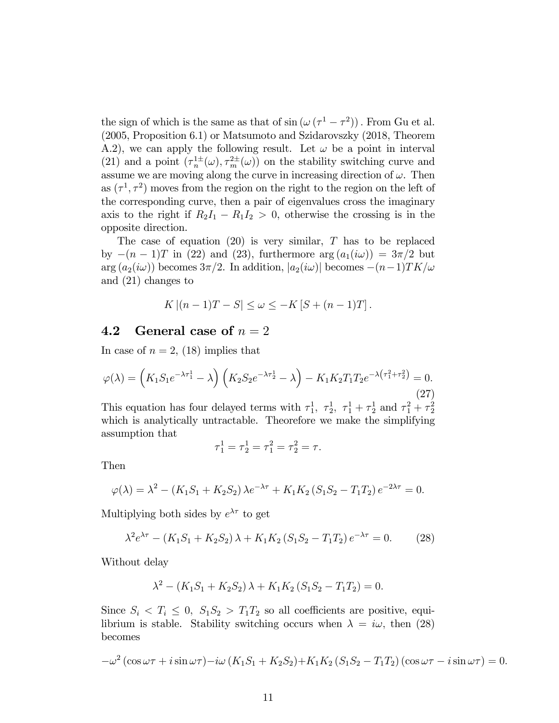the sign of which is the same as that of  $\sin (\omega (\tau^1 - \tau^2))$ . From Gu et al. (2005, Proposition 6.1) or Matsumoto and Szidarovszky (2018, Theorem A.2), we can apply the following result. Let  $\omega$  be a point in interval (21) and a point  $(\tau_n^{\perp\pm}(\omega), \tau_m^{\perp\pm}(\omega))$  on the stability switching curve and assume we are moving along the curve in increasing direction of  $\omega$ . Then as  $(\tau^1, \tau^2)$  moves from the region on the right to the region on the left of the corresponding curve, then a pair of eigenvalues cross the imaginary axis to the right if  $R_2I_1 - R_1I_2 > 0$ , otherwise the crossing is in the opposite direction.

The case of equation  $(20)$  is very similar, T has to be replaced by  $-(n - 1)T$  in (22) and (23), furthermore arg  $(a_1(i\omega)) = 3\pi/2$  but  $arg (a_2(i\omega))$  becomes  $3\pi/2$ . In addition,  $|a_2(i\omega)|$  becomes  $-(n-1)TK/\omega$ and (21) changes to

$$
K | (n-1)T - S | \le \omega \le -K [S + (n-1)T].
$$

## 4.2 General case of  $n = 2$

In case of  $n = 2$ , (18) implies that

$$
\varphi(\lambda) = \left(K_1 S_1 e^{-\lambda \tau_1^1} - \lambda\right) \left(K_2 S_2 e^{-\lambda \tau_2^1} - \lambda\right) - K_1 K_2 T_1 T_2 e^{-\lambda \left(\tau_1^2 + \tau_2^2\right)} = 0.
$$
\n(27)

This equation has four delayed terms with  $\tau_1^1$ ,  $\tau_2^1$ ,  $\tau_1^1 + \tau_2^1$  and  $\tau_1^2 + \tau_2^2$ which is analytically untractable. Theorefore we make the simplifying assumption that

$$
\tau_1^1 = \tau_2^1 = \tau_1^2 = \tau_2^2 = \tau.
$$

Then

$$
\varphi(\lambda) = \lambda^2 - (K_1 S_1 + K_2 S_2) \lambda e^{-\lambda \tau} + K_1 K_2 (S_1 S_2 - T_1 T_2) e^{-2\lambda \tau} = 0.
$$

Multiplying both sides by  $e^{\lambda \tau}$  to get

$$
\lambda^2 e^{\lambda \tau} - (K_1 S_1 + K_2 S_2) \lambda + K_1 K_2 (S_1 S_2 - T_1 T_2) e^{-\lambda \tau} = 0. \tag{28}
$$

Without delay

$$
\lambda^{2} - (K_{1}S_{1} + K_{2}S_{2})\lambda + K_{1}K_{2}(S_{1}S_{2} - T_{1}T_{2}) = 0.
$$

Since  $S_i < T_i \leq 0$ ,  $S_1S_2 > T_1T_2$  so all coefficients are positive, equilibrium is stable. Stability switching occurs when  $\lambda = i\omega$ , then (28) becomes

$$
-\omega^2\left(\cos\omega\tau+i\sin\omega\tau\right)-i\omega\left(K_1S_1+K_2S_2\right)+K_1K_2\left(S_1S_2-T_1T_2\right)\left(\cos\omega\tau-i\sin\omega\tau\right)=0.
$$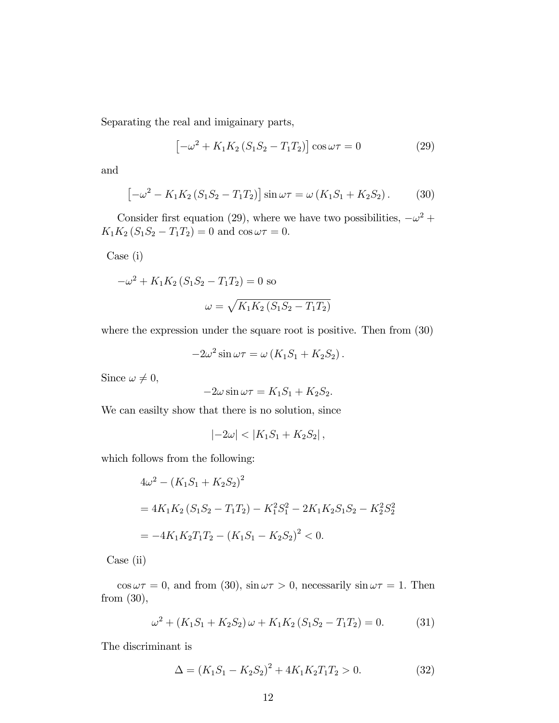Separating the real and imigainary parts,

$$
\left[-\omega^2 + K_1 K_2 (S_1 S_2 - T_1 T_2)\right] \cos \omega \tau = 0 \tag{29}
$$

and

$$
\left[-\omega^2 - K_1 K_2 \left(S_1 S_2 - T_1 T_2\right)\right] \sin \omega \tau = \omega \left(K_1 S_1 + K_2 S_2\right). \tag{30}
$$

Consider first equation (29), where we have two possibilities,  $-\omega^2 +$  $K_1K_2 (S_1S_2 - T_1T_2) = 0$  and  $\cos \omega \tau = 0$ .

Case (i)

$$
-\omega^{2} + K_{1}K_{2}(S_{1}S_{2} - T_{1}T_{2}) = 0 \text{ so}
$$

$$
\omega = \sqrt{K_{1}K_{2}(S_{1}S_{2} - T_{1}T_{2})}
$$

where the expression under the square root is positive. Then from  $(30)$ 

$$
-2\omega^2 \sin \omega \tau = \omega (K_1 S_1 + K_2 S_2).
$$

Since  $\omega \neq 0$ ,

$$
-2\omega\sin\omega\tau = K_1S_1 + K_2S_2.
$$

We can easilty show that there is no solution, since

$$
|-2\omega| < |K_1S_1 + K_2S_2| \,,
$$

which follows from the following:

$$
4\omega^2 - (K_1S_1 + K_2S_2)^2
$$
  
=  $4K_1K_2(S_1S_2 - T_1T_2) - K_1^2S_1^2 - 2K_1K_2S_1S_2 - K_2^2S_2^2$   
=  $-4K_1K_2T_1T_2 - (K_1S_1 - K_2S_2)^2 < 0$ .

Case (ii)

 $\cos \omega \tau = 0$ , and from (30),  $\sin \omega \tau > 0$ , necessarily  $\sin \omega \tau = 1$ . Then from (30),

$$
\omega^2 + (K_1 S_1 + K_2 S_2) \omega + K_1 K_2 (S_1 S_2 - T_1 T_2) = 0.
$$
 (31)

The discriminant is

$$
\Delta = (K_1 S_1 - K_2 S_2)^2 + 4K_1 K_2 T_1 T_2 > 0. \tag{32}
$$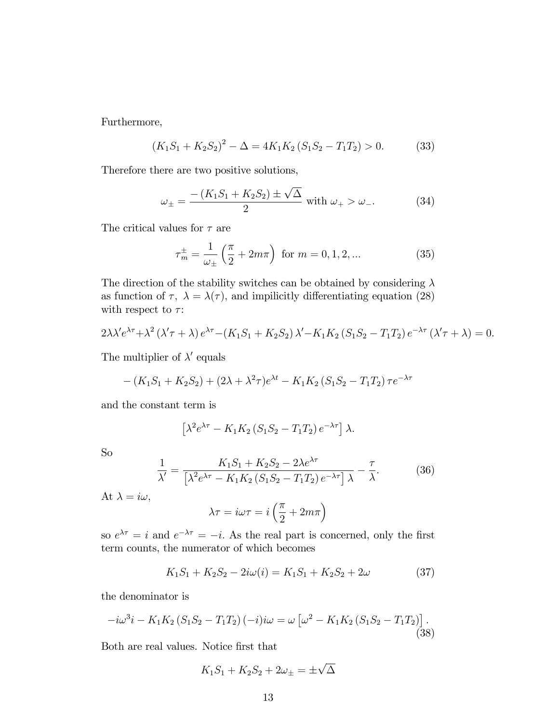Furthermore,

$$
(K_1S_1 + K_2S_2)^2 - \Delta = 4K_1K_2(S_1S_2 - T_1T_2) > 0.
$$
 (33)

Therefore there are two positive solutions,

$$
\omega_{\pm} = \frac{-\left(K_1 S_1 + K_2 S_2\right) \pm \sqrt{\Delta}}{2} \text{ with } \omega_+ > \omega_-. \tag{34}
$$

The critical values for  $\tau$  are

$$
\tau_m^{\pm} = \frac{1}{\omega_{\pm}} \left( \frac{\pi}{2} + 2m\pi \right) \text{ for } m = 0, 1, 2, ... \tag{35}
$$

The direction of the stability switches can be obtained by considering  $\lambda$ as function of  $\tau$ ,  $\lambda = \lambda(\tau)$ , and impilicitly differentiating equation (28) with respect to  $\tau$ :

$$
2\lambda \lambda' e^{\lambda \tau} + \lambda^2 (\lambda' \tau + \lambda) e^{\lambda \tau} - (K_1 S_1 + K_2 S_2) \lambda' - K_1 K_2 (S_1 S_2 - T_1 T_2) e^{-\lambda \tau} (\lambda' \tau + \lambda) = 0.
$$

The multiplier of  $\lambda'$  equals

$$
-(K_1S_1 + K_2S_2) + (2\lambda + \lambda^2\tau)e^{\lambda t} - K_1K_2(S_1S_2 - T_1T_2)\tau e^{-\lambda \tau}
$$

and the constant term is

$$
\left[\lambda^2 e^{\lambda \tau} - K_1 K_2 \left(S_1 S_2 - T_1 T_2\right) e^{-\lambda \tau}\right] \lambda.
$$

So

$$
\frac{1}{\lambda'} = \frac{K_1 S_1 + K_2 S_2 - 2\lambda e^{\lambda \tau}}{\left[\lambda^2 e^{\lambda \tau} - K_1 K_2 \left(S_1 S_2 - T_1 T_2\right) e^{-\lambda \tau}\right] \lambda} - \frac{\tau}{\lambda}.
$$
 (36)

At  $\lambda = i\omega$ ,

$$
\lambda \tau = i\omega \tau = i\left(\frac{\pi}{2} + 2m\pi\right)
$$

so  $e^{\lambda \tau} = i$  and  $e^{-\lambda \tau} = -i$ . As the real part is concerned, only the first term counts, the numerator of which becomes

$$
K_1S_1 + K_2S_2 - 2i\omega(i) = K_1S_1 + K_2S_2 + 2\omega
$$
 (37)

the denominator is

$$
-i\omega^{3}i - K_{1}K_{2}\left(S_{1}S_{2} - T_{1}T_{2}\right)(-i)i\omega = \omega\left[\omega^{2} - K_{1}K_{2}\left(S_{1}S_{2} - T_{1}T_{2}\right)\right].
$$
\n(38)

Both are real values. Notice Örst that

$$
K_1S_1 + K_2S_2 + 2\omega_{\pm} = \pm\sqrt{\Delta}
$$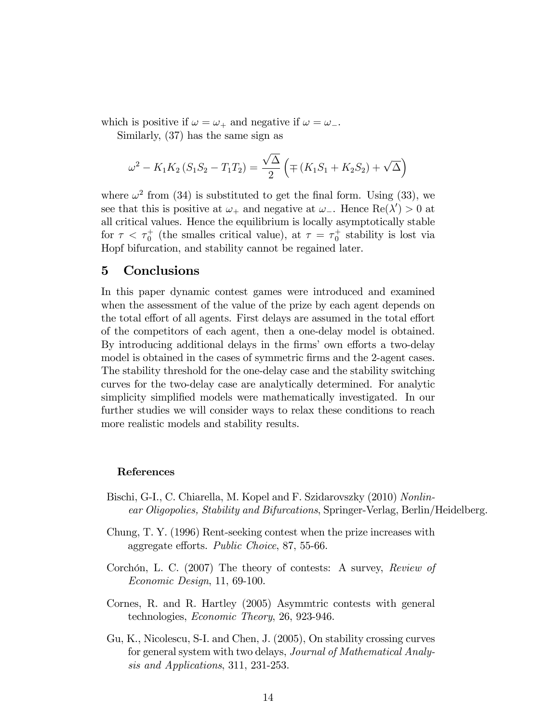which is positive if  $\omega = \omega_+$  and negative if  $\omega = \omega_-$ .

Similarly, (37) has the same sign as

$$
\omega^{2} - K_{1}K_{2}(S_{1}S_{2} - T_{1}T_{2}) = \frac{\sqrt{\Delta}}{2} \left( \mp (K_{1}S_{1} + K_{2}S_{2}) + \sqrt{\Delta} \right)
$$

where  $\omega^2$  from (34) is substituted to get the final form. Using (33), we see that this is positive at  $\omega_+$  and negative at  $\omega_-$ . Hence  $\text{Re}(\lambda') > 0$  at all critical values. Hence the equilibrium is locally asymptotically stable for  $\tau < \tau_0^+$  (the smalles critical value), at  $\tau = \tau_0^+$  stability is lost via Hopf bifurcation, and stability cannot be regained later.

#### 5 Conclusions

In this paper dynamic contest games were introduced and examined when the assessment of the value of the prize by each agent depends on the total effort of all agents. First delays are assumed in the total effort of the competitors of each agent, then a one-delay model is obtained. By introducing additional delays in the firms' own efforts a two-delay model is obtained in the cases of symmetric firms and the 2-agent cases. The stability threshold for the one-delay case and the stability switching curves for the two-delay case are analytically determined. For analytic simplicity simplified models were mathematically investigated. In our further studies we will consider ways to relax these conditions to reach more realistic models and stability results.

#### References

- Bischi, G-I., C. Chiarella, M. Kopel and F. Szidarovszky (2010) Nonlinear Oligopolies, Stability and Bifurcations, Springer-Verlag, Berlin/Heidelberg.
- Chung, T. Y. (1996) Rent-seeking contest when the prize increases with aggregate efforts. Public Choice, 87, 55-66.
- Corchón, L. C. (2007) The theory of contests: A survey,  $Review of$ Economic Design, 11, 69-100.
- Cornes, R. and R. Hartley (2005) Asymmtric contests with general technologies, Economic Theory, 26, 923-946.
- Gu, K., Nicolescu, S-I. and Chen, J. (2005), On stability crossing curves for general system with two delays, Journal of Mathematical Analysis and Applications, 311, 231-253.